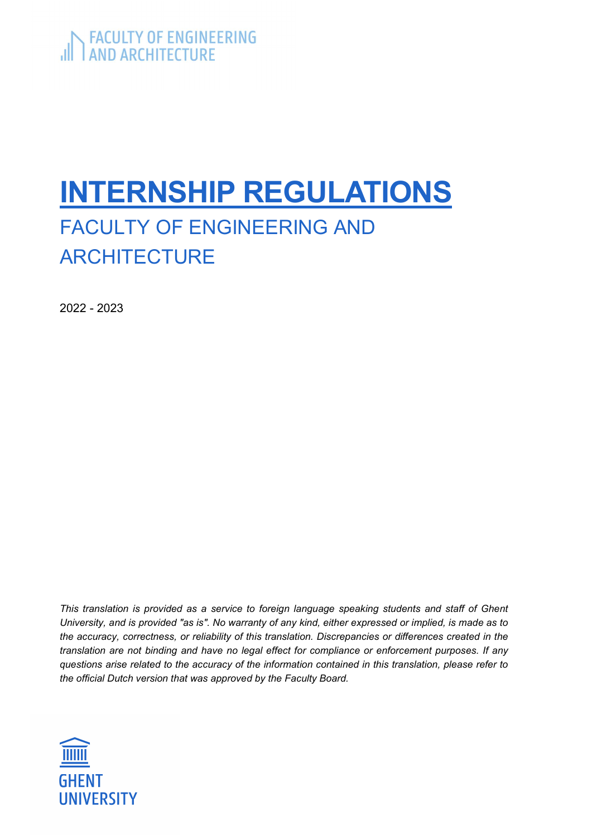# INTERNSHIP REGULATIONS

# FACULTY OF ENGINEERING AND **ARCHITECTURE**

2022 - 2023

This translation is provided as a service to foreign language speaking students and staff of Ghent University, and is provided "as is". No warranty of any kind, either expressed or implied, is made as to the accuracy, correctness, or reliability of this translation. Discrepancies or differences created in the translation are not binding and have no legal effect for compliance or enforcement purposes. If any questions arise related to the accuracy of the information contained in this translation, please refer to the official Dutch version that was approved by the Faculty Board.

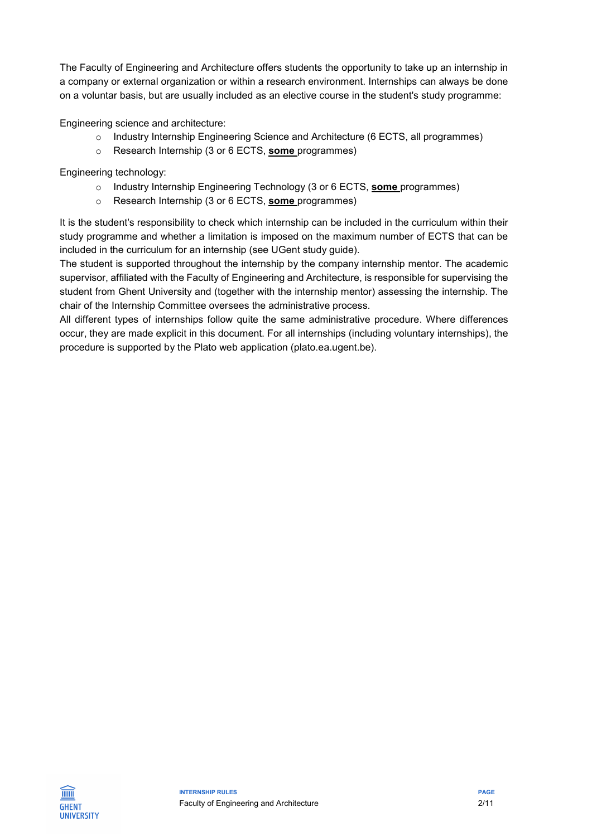The Faculty of Engineering and Architecture offers students the opportunity to take up an internship in a company or external organization or within a research environment. Internships can always be done on a voluntar basis, but are usually included as an elective course in the student's study programme:

Engineering science and architecture:

- o Industry Internship Engineering Science and Architecture (6 ECTS, all programmes)
- o Research Internship (3 or 6 ECTS, some programmes)

Engineering technology:

- $\circ$  Industry Internship Engineering Technology (3 or 6 ECTS, some programmes)
- o Research Internship (3 or 6 ECTS, some programmes)

It is the student's responsibility to check which internship can be included in the curriculum within their study programme and whether a limitation is imposed on the maximum number of ECTS that can be included in the curriculum for an internship (see UGent study guide).

The student is supported throughout the internship by the company internship mentor. The academic supervisor, affiliated with the Faculty of Engineering and Architecture, is responsible for supervising the student from Ghent University and (together with the internship mentor) assessing the internship. The chair of the Internship Committee oversees the administrative process.

All different types of internships follow quite the same administrative procedure. Where differences occur, they are made explicit in this document. For all internships (including voluntary internships), the procedure is supported by the Plato web application (plato.ea.ugent.be).

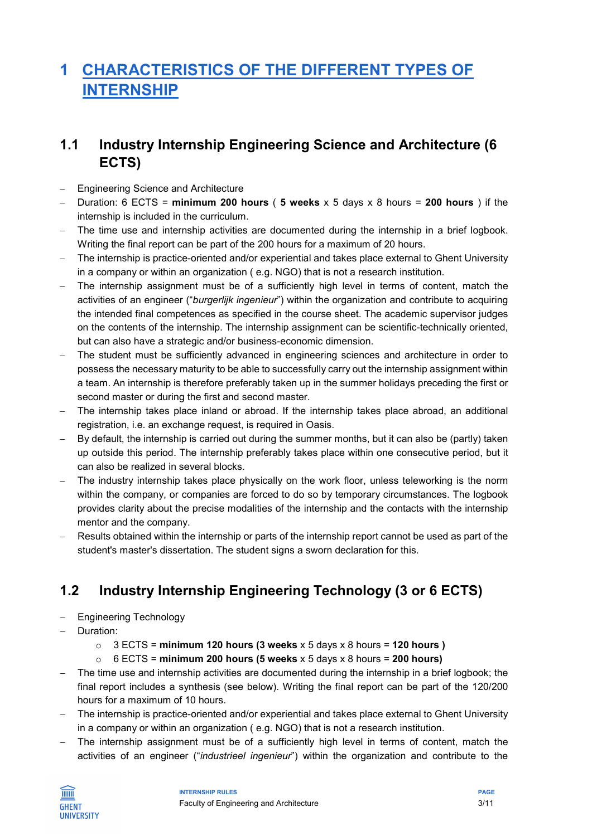# 1 CHARACTERISTICS OF THE DIFFERENT TYPES OF **INTERNSHIP**

### 1.1 Industry Internship Engineering Science and Architecture (6 ECTS)

- Engineering Science and Architecture
- Duration: 6 ECTS = minimum 200 hours (5 weeks  $x$  5 days  $x$  8 hours = 200 hours ) if the internship is included in the curriculum.
- The time use and internship activities are documented during the internship in a brief logbook. Writing the final report can be part of the 200 hours for a maximum of 20 hours.
- The internship is practice-oriented and/or experiential and takes place external to Ghent University in a company or within an organization ( e.g. NGO) that is not a research institution.
- The internship assignment must be of a sufficiently high level in terms of content, match the activities of an engineer ("burgerlijk ingenieur") within the organization and contribute to acquiring the intended final competences as specified in the course sheet. The academic supervisor judges on the contents of the internship. The internship assignment can be scientific-technically oriented, but can also have a strategic and/or business-economic dimension.
- The student must be sufficiently advanced in engineering sciences and architecture in order to possess the necessary maturity to be able to successfully carry out the internship assignment within a team. An internship is therefore preferably taken up in the summer holidays preceding the first or second master or during the first and second master.
- The internship takes place inland or abroad. If the internship takes place abroad, an additional registration, i.e. an exchange request, is required in Oasis.
- By default, the internship is carried out during the summer months, but it can also be (partly) taken up outside this period. The internship preferably takes place within one consecutive period, but it can also be realized in several blocks.
- The industry internship takes place physically on the work floor, unless teleworking is the norm within the company, or companies are forced to do so by temporary circumstances. The logbook provides clarity about the precise modalities of the internship and the contacts with the internship mentor and the company.
- Results obtained within the internship or parts of the internship report cannot be used as part of the student's master's dissertation. The student signs a sworn declaration for this.

### 1.2 Industry Internship Engineering Technology (3 or 6 ECTS)

- Engineering Technology
- Duration:
	- $\circ$  3 ECTS = minimum 120 hours (3 weeks x 5 days x 8 hours = 120 hours )
	- $\circ$  6 ECTS = minimum 200 hours (5 weeks x 5 days x 8 hours = 200 hours)
- The time use and internship activities are documented during the internship in a brief logbook; the final report includes a synthesis (see below). Writing the final report can be part of the 120/200 hours for a maximum of 10 hours.
- The internship is practice-oriented and/or experiential and takes place external to Ghent University in a company or within an organization ( e.g. NGO) that is not a research institution.
- The internship assignment must be of a sufficiently high level in terms of content, match the activities of an engineer ("industrieel ingenieur") within the organization and contribute to the

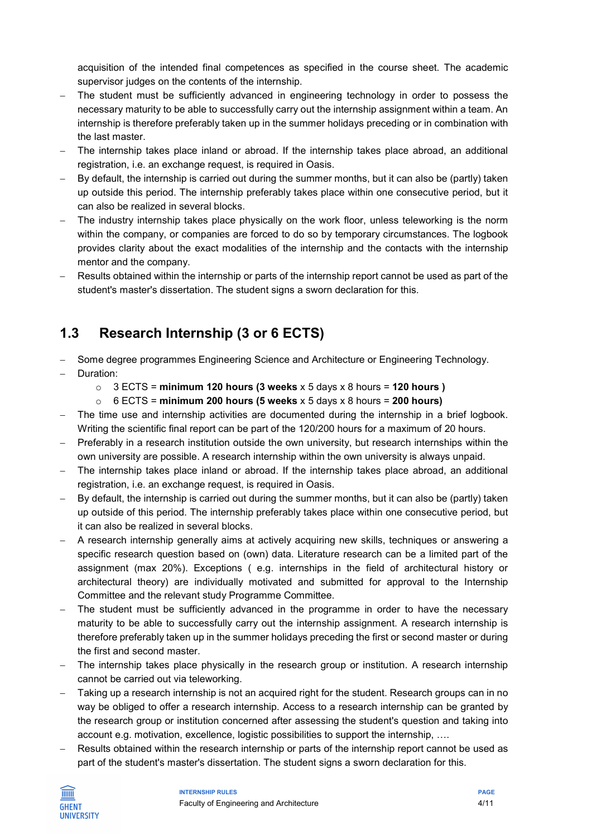acquisition of the intended final competences as specified in the course sheet. The academic supervisor judges on the contents of the internship.

- The student must be sufficiently advanced in engineering technology in order to possess the necessary maturity to be able to successfully carry out the internship assignment within a team. An internship is therefore preferably taken up in the summer holidays preceding or in combination with the last master.
- The internship takes place inland or abroad. If the internship takes place abroad, an additional registration, i.e. an exchange request, is required in Oasis.
- By default, the internship is carried out during the summer months, but it can also be (partly) taken up outside this period. The internship preferably takes place within one consecutive period, but it can also be realized in several blocks.
- The industry internship takes place physically on the work floor, unless teleworking is the norm within the company, or companies are forced to do so by temporary circumstances. The logbook provides clarity about the exact modalities of the internship and the contacts with the internship mentor and the company.
- Results obtained within the internship or parts of the internship report cannot be used as part of the student's master's dissertation. The student signs a sworn declaration for this.

### 1.3 Research Internship (3 or 6 ECTS)

- Some degree programmes Engineering Science and Architecture or Engineering Technology.
- Duration:
	- $\circ$  3 ECTS = minimum 120 hours (3 weeks x 5 days x 8 hours = 120 hours )
	- $\circ$  6 ECTS = minimum 200 hours (5 weeks x 5 days x 8 hours = 200 hours)
- The time use and internship activities are documented during the internship in a brief logbook. Writing the scientific final report can be part of the 120/200 hours for a maximum of 20 hours.
- Preferably in a research institution outside the own university, but research internships within the own university are possible. A research internship within the own university is always unpaid.
- The internship takes place inland or abroad. If the internship takes place abroad, an additional registration, i.e. an exchange request, is required in Oasis.
- $-$  By default, the internship is carried out during the summer months, but it can also be (partly) taken up outside of this period. The internship preferably takes place within one consecutive period, but it can also be realized in several blocks.
- A research internship generally aims at actively acquiring new skills, techniques or answering a specific research question based on (own) data. Literature research can be a limited part of the assignment (max 20%). Exceptions ( e.g. internships in the field of architectural history or architectural theory) are individually motivated and submitted for approval to the Internship Committee and the relevant study Programme Committee.
- The student must be sufficiently advanced in the programme in order to have the necessary maturity to be able to successfully carry out the internship assignment. A research internship is therefore preferably taken up in the summer holidays preceding the first or second master or during the first and second master.
- The internship takes place physically in the research group or institution. A research internship cannot be carried out via teleworking.
- Taking up a research internship is not an acquired right for the student. Research groups can in no way be obliged to offer a research internship. Access to a research internship can be granted by the research group or institution concerned after assessing the student's question and taking into account e.g. motivation, excellence, logistic possibilities to support the internship, ….
- Results obtained within the research internship or parts of the internship report cannot be used as part of the student's master's dissertation. The student signs a sworn declaration for this.

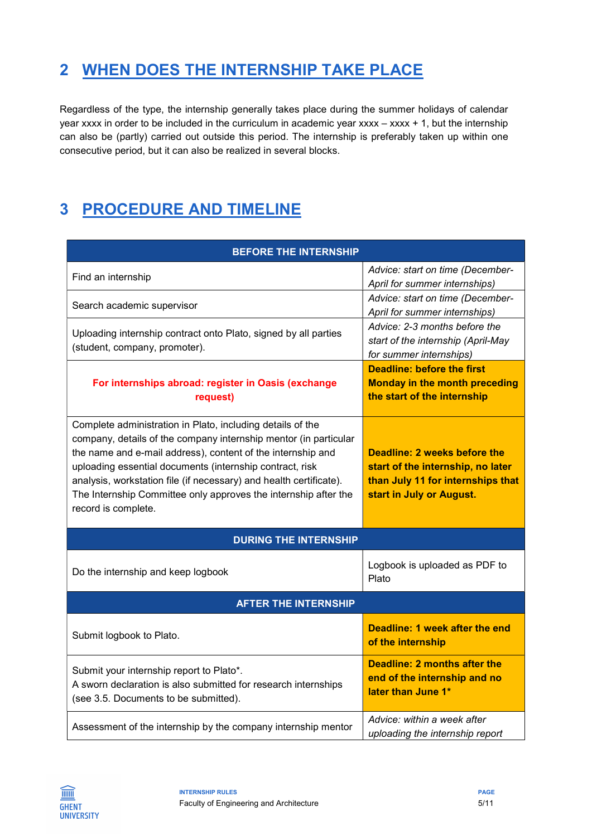# 2 WHEN DOES THE INTERNSHIP TAKE PLACE

Regardless of the type, the internship generally takes place during the summer holidays of calendar year xxxx in order to be included in the curriculum in academic year xxxx – xxxx + 1, but the internship can also be (partly) carried out outside this period. The internship is preferably taken up within one consecutive period, but it can also be realized in several blocks.

# 3 PROCEDURE AND TIMELINE

| <b>BEFORE THE INTERNSHIP</b>                                                                                                                                                                                                                                                                                                                                                                                              |                                                                                                                                    |  |  |  |  |
|---------------------------------------------------------------------------------------------------------------------------------------------------------------------------------------------------------------------------------------------------------------------------------------------------------------------------------------------------------------------------------------------------------------------------|------------------------------------------------------------------------------------------------------------------------------------|--|--|--|--|
| Find an internship                                                                                                                                                                                                                                                                                                                                                                                                        | Advice: start on time (December-<br>April for summer internships)                                                                  |  |  |  |  |
| Search academic supervisor                                                                                                                                                                                                                                                                                                                                                                                                | Advice: start on time (December-<br>April for summer internships)                                                                  |  |  |  |  |
| Uploading internship contract onto Plato, signed by all parties<br>(student, company, promoter).                                                                                                                                                                                                                                                                                                                          | Advice: 2-3 months before the<br>start of the internship (April-May<br>for summer internships)                                     |  |  |  |  |
| For internships abroad: register in Oasis (exchange<br>request)                                                                                                                                                                                                                                                                                                                                                           | Deadline: before the first<br><b>Monday in the month preceding</b><br>the start of the internship                                  |  |  |  |  |
| Complete administration in Plato, including details of the<br>company, details of the company internship mentor (in particular<br>the name and e-mail address), content of the internship and<br>uploading essential documents (internship contract, risk<br>analysis, workstation file (if necessary) and health certificate).<br>The Internship Committee only approves the internship after the<br>record is complete. | Deadline: 2 weeks before the<br>start of the internship, no later<br>than July 11 for internships that<br>start in July or August. |  |  |  |  |
| <b>DURING THE INTERNSHIP</b>                                                                                                                                                                                                                                                                                                                                                                                              |                                                                                                                                    |  |  |  |  |
| Do the internship and keep logbook                                                                                                                                                                                                                                                                                                                                                                                        | Logbook is uploaded as PDF to<br>Plato                                                                                             |  |  |  |  |
| <b>AFTER THE INTERNSHIP</b>                                                                                                                                                                                                                                                                                                                                                                                               |                                                                                                                                    |  |  |  |  |
| Submit logbook to Plato.                                                                                                                                                                                                                                                                                                                                                                                                  | Deadline: 1 week after the end<br>of the internship                                                                                |  |  |  |  |
| Submit your internship report to Plato*.<br>A sworn declaration is also submitted for research internships<br>(see 3.5. Documents to be submitted).                                                                                                                                                                                                                                                                       | <b>Deadline: 2 months after the</b><br>end of the internship and no<br>later than June 1*                                          |  |  |  |  |
| Assessment of the internship by the company internship mentor                                                                                                                                                                                                                                                                                                                                                             | Advice: within a week after<br>uploading the internship report                                                                     |  |  |  |  |

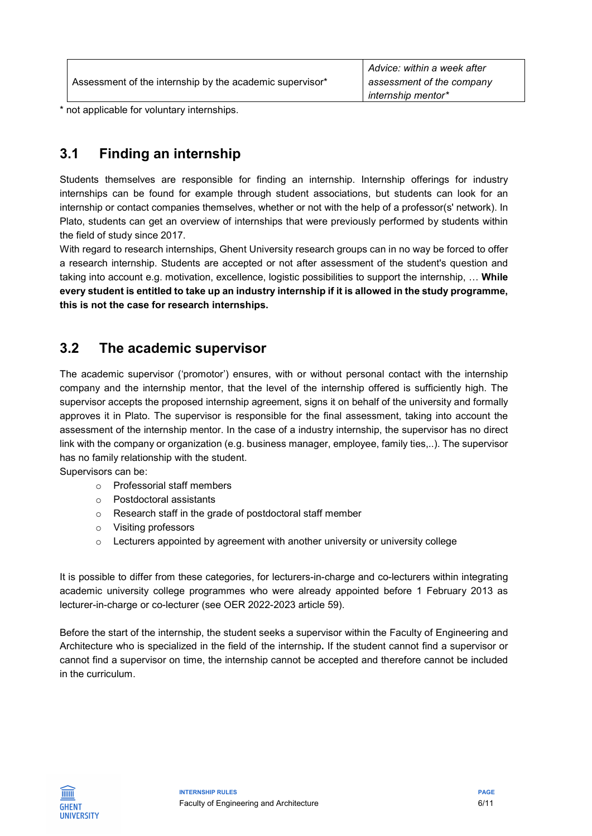|                                                          | Advice: within a week after |
|----------------------------------------------------------|-----------------------------|
| Assessment of the internship by the academic supervisor* | assessment of the company   |
|                                                          | internship mentor*          |
|                                                          |                             |

\* not applicable for voluntary internships.

### 3.1 Finding an internship

Students themselves are responsible for finding an internship. Internship offerings for industry internships can be found for example through student associations, but students can look for an internship or contact companies themselves, whether or not with the help of a professor(s' network). In Plato, students can get an overview of internships that were previously performed by students within the field of study since 2017.

With regard to research internships, Ghent University research groups can in no way be forced to offer a research internship. Students are accepted or not after assessment of the student's question and taking into account e.g. motivation, excellence, logistic possibilities to support the internship, ... While every student is entitled to take up an industry internship if it is allowed in the study programme, this is not the case for research internships.

### 3.2 The academic supervisor

The academic supervisor ('promotor') ensures, with or without personal contact with the internship company and the internship mentor, that the level of the internship offered is sufficiently high. The supervisor accepts the proposed internship agreement, signs it on behalf of the university and formally approves it in Plato. The supervisor is responsible for the final assessment, taking into account the assessment of the internship mentor. In the case of a industry internship, the supervisor has no direct link with the company or organization (e.g. business manager, employee, family ties,..). The supervisor has no family relationship with the student.

Supervisors can be:

- o Professorial staff members
- o Postdoctoral assistants
- o Research staff in the grade of postdoctoral staff member
- o Visiting professors
- $\circ$  Lecturers appointed by agreement with another university or university college

It is possible to differ from these categories, for lecturers-in-charge and co-lecturers within integrating academic university college programmes who were already appointed before 1 February 2013 as lecturer-in-charge or co-lecturer (see OER 2022-2023 article 59).

Before the start of the internship, the student seeks a supervisor within the Faculty of Engineering and Architecture who is specialized in the field of the internship. If the student cannot find a supervisor or cannot find a supervisor on time, the internship cannot be accepted and therefore cannot be included in the curriculum.

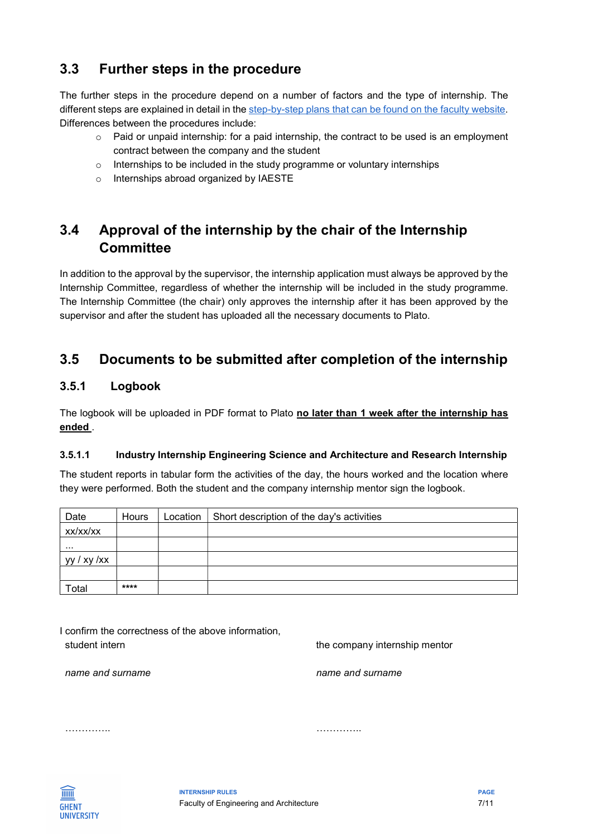### 3.3 Further steps in the procedure

The further steps in the procedure depend on a number of factors and the type of internship. The different steps are explained in detail in the step-by-step plans that can be found on the faculty website. Differences between the procedures include:

- $\circ$  Paid or unpaid internship: for a paid internship, the contract to be used is an employment contract between the company and the student
- o Internships to be included in the study programme or voluntary internships
- o Internships abroad organized by IAESTE

### 3.4 Approval of the internship by the chair of the Internship **Committee**

In addition to the approval by the supervisor, the internship application must always be approved by the Internship Committee, regardless of whether the internship will be included in the study programme. The Internship Committee (the chair) only approves the internship after it has been approved by the supervisor and after the student has uploaded all the necessary documents to Plato.

### 3.5 Documents to be submitted after completion of the internship

#### 3.5.1 Logbook

The logbook will be uploaded in PDF format to Plato no later than 1 week after the internship has ended .

#### 3.5.1.1 Industry Internship Engineering Science and Architecture and Research Internship

The student reports in tabular form the activities of the day, the hours worked and the location where they were performed. Both the student and the company internship mentor sign the logbook.

| Date                | Hours | Location | Short description of the day's activities |
|---------------------|-------|----------|-------------------------------------------|
| xx/xx/xx            |       |          |                                           |
|                     |       |          |                                           |
| yy / xy / xx        |       |          |                                           |
|                     |       |          |                                           |
| $\mathsf{^{To}tal}$ | ****  |          |                                           |

I confirm the correctness of the above information, student intern the company internship mentor

name and surname

name and surname

…………..

…………..

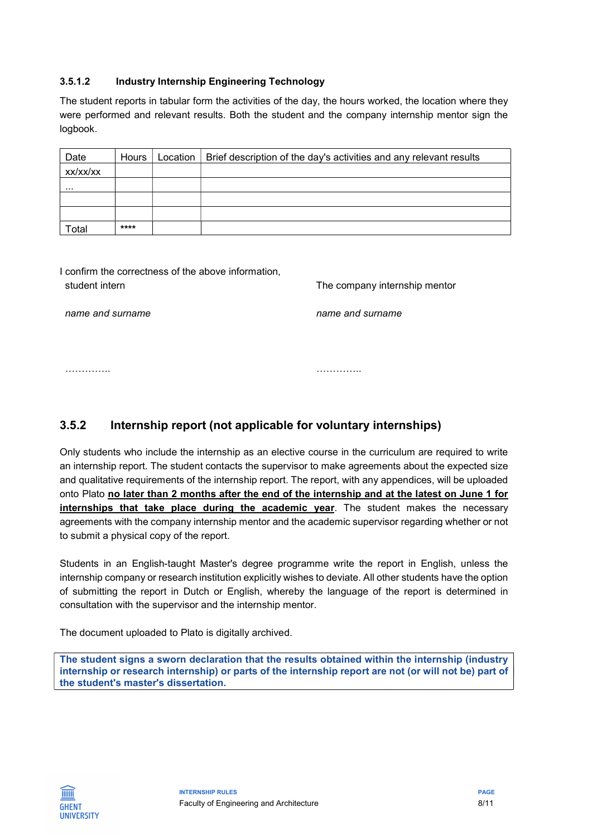#### 3.5.1.2 Industry Internship Engineering Technology

The student reports in tabular form the activities of the day, the hours worked, the location where they were performed and relevant results. Both the student and the company internship mentor sign the logbook.

| Date              | Hours | Location   Brief description of the day's activities and any relevant results |
|-------------------|-------|-------------------------------------------------------------------------------|
| XX/XX/XX          |       |                                                                               |
| $\cdots$          |       |                                                                               |
|                   |       |                                                                               |
|                   |       |                                                                               |
| otal <sup>-</sup> | ****  |                                                                               |

| I confirm the correctness of the above information, |     |
|-----------------------------------------------------|-----|
| student intern                                      | The |

company internship mentor

name and surname

name and surname

…………..

…………..

#### 3.5.2 Internship report (not applicable for voluntary internships)

Only students who include the internship as an elective course in the curriculum are required to write an internship report. The student contacts the supervisor to make agreements about the expected size and qualitative requirements of the internship report. The report, with any appendices, will be uploaded onto Plato no later than 2 months after the end of the internship and at the latest on June 1 for internships that take place during the academic year. The student makes the necessary agreements with the company internship mentor and the academic supervisor regarding whether or not to submit a physical copy of the report.

Students in an English-taught Master's degree programme write the report in English, unless the internship company or research institution explicitly wishes to deviate. All other students have the option of submitting the report in Dutch or English, whereby the language of the report is determined in consultation with the supervisor and the internship mentor.

The document uploaded to Plato is digitally archived.

The student signs a sworn declaration that the results obtained within the internship (industry internship or research internship) or parts of the internship report are not (or will not be) part of the student's master's dissertation.

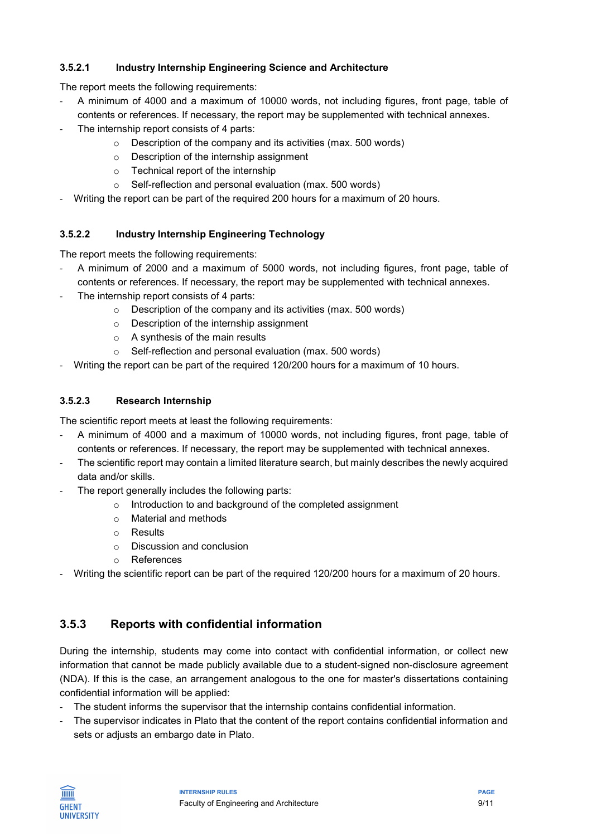#### 3.5.2.1 Industry Internship Engineering Science and Architecture

The report meets the following requirements:

- A minimum of 4000 and a maximum of 10000 words, not including figures, front page, table of contents or references. If necessary, the report may be supplemented with technical annexes.
- The internship report consists of 4 parts:
	- o Description of the company and its activities (max. 500 words)
	- o Description of the internship assignment
	- o Technical report of the internship
	- o Self-reflection and personal evaluation (max. 500 words)
- Writing the report can be part of the required 200 hours for a maximum of 20 hours.

#### 3.5.2.2 Industry Internship Engineering Technology

The report meets the following requirements:

- A minimum of 2000 and a maximum of 5000 words, not including figures, front page, table of contents or references. If necessary, the report may be supplemented with technical annexes.
- The internship report consists of 4 parts:
	- o Description of the company and its activities (max. 500 words)
	- o Description of the internship assignment
	- o A synthesis of the main results
	- o Self-reflection and personal evaluation (max. 500 words)
- Writing the report can be part of the required 120/200 hours for a maximum of 10 hours.

#### 3.5.2.3 Research Internship

The scientific report meets at least the following requirements:

- A minimum of 4000 and a maximum of 10000 words, not including figures, front page, table of contents or references. If necessary, the report may be supplemented with technical annexes.
- The scientific report may contain a limited literature search, but mainly describes the newly acquired data and/or skills.
- The report generally includes the following parts:
	- o Introduction to and background of the completed assignment
	- o Material and methods
	- o Results
	- o Discussion and conclusion
	- o References
- Writing the scientific report can be part of the required 120/200 hours for a maximum of 20 hours.

#### 3.5.3 Reports with confidential information

During the internship, students may come into contact with confidential information, or collect new information that cannot be made publicly available due to a student-signed non-disclosure agreement (NDA). If this is the case, an arrangement analogous to the one for master's dissertations containing confidential information will be applied:

- The student informs the supervisor that the internship contains confidential information.
- The supervisor indicates in Plato that the content of the report contains confidential information and sets or adjusts an embargo date in Plato.

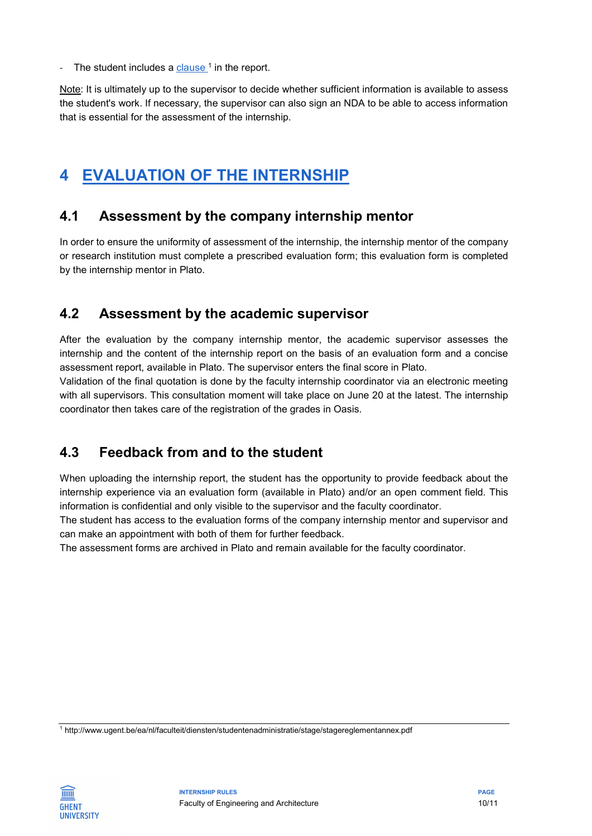-  $\,$  The student includes a <u>clause  $^1$ </u> in the report.

Note: It is ultimately up to the supervisor to decide whether sufficient information is available to assess the student's work. If necessary, the supervisor can also sign an NDA to be able to access information that is essential for the assessment of the internship.

### 4 EVALUATION OF THE INTERNSHIP

### 4.1 Assessment by the company internship mentor

In order to ensure the uniformity of assessment of the internship, the internship mentor of the company or research institution must complete a prescribed evaluation form; this evaluation form is completed by the internship mentor in Plato.

### 4.2 Assessment by the academic supervisor

After the evaluation by the company internship mentor, the academic supervisor assesses the internship and the content of the internship report on the basis of an evaluation form and a concise assessment report, available in Plato. The supervisor enters the final score in Plato.

Validation of the final quotation is done by the faculty internship coordinator via an electronic meeting with all supervisors. This consultation moment will take place on June 20 at the latest. The internship coordinator then takes care of the registration of the grades in Oasis.

### 4.3 Feedback from and to the student

When uploading the internship report, the student has the opportunity to provide feedback about the internship experience via an evaluation form (available in Plato) and/or an open comment field. This information is confidential and only visible to the supervisor and the faculty coordinator.

The student has access to the evaluation forms of the company internship mentor and supervisor and can make an appointment with both of them for further feedback.

The assessment forms are archived in Plato and remain available for the faculty coordinator.

1 http://www.ugent.be/ea/nl/faculteit/diensten/studentenadministratie/stage/stagereglementannex.pdf